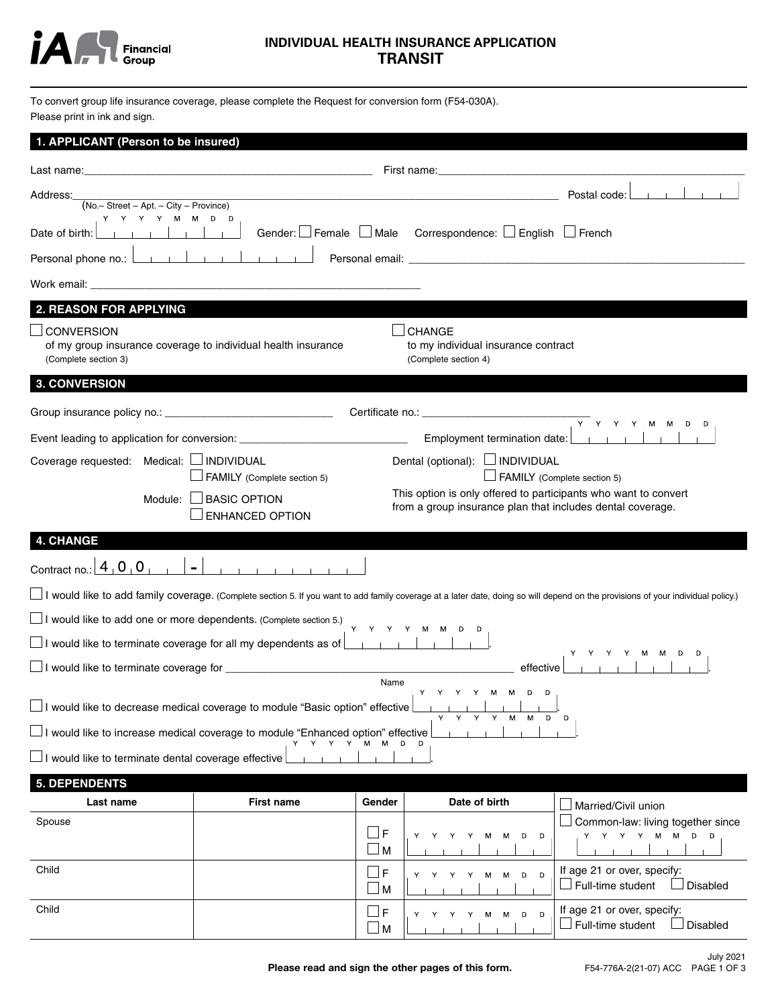

# **INDIVIDUAL HEALTH INSURANCE APPLICATION TRANSIT**

To convert group life insurance coverage, please complete the Request for conversion form (F54-030A). Please print in ink and sign.

| 1. APPLICANT (Person to be insured)                                                                                                                                                         |                                                                                                                  |                  |                                                                                |                                                                                                                                                                                  |  |  |  |
|---------------------------------------------------------------------------------------------------------------------------------------------------------------------------------------------|------------------------------------------------------------------------------------------------------------------|------------------|--------------------------------------------------------------------------------|----------------------------------------------------------------------------------------------------------------------------------------------------------------------------------|--|--|--|
|                                                                                                                                                                                             |                                                                                                                  |                  |                                                                                |                                                                                                                                                                                  |  |  |  |
|                                                                                                                                                                                             |                                                                                                                  |                  |                                                                                |                                                                                                                                                                                  |  |  |  |
| Address:<br>$(No - Street - Apt. - City - Province)$                                                                                                                                        | and the control of the control of the control of the control of the control of the control of the control of the |                  |                                                                                | Postal code: <u>         </u>                                                                                                                                                    |  |  |  |
| Y Y Y Y M M D D<br>and the state of the state of the state of the state of the state of the state of the state of the state of the<br>Date of birth:                                        |                                                                                                                  |                  | Gender: $\Box$ Female $\Box$ Male Correspondence: $\Box$ English $\Box$ French |                                                                                                                                                                                  |  |  |  |
| Personal phone no.: <u>                   </u>                                                                                                                                              |                                                                                                                  |                  |                                                                                |                                                                                                                                                                                  |  |  |  |
|                                                                                                                                                                                             |                                                                                                                  |                  |                                                                                |                                                                                                                                                                                  |  |  |  |
| <b>2. REASON FOR APPLYING</b>                                                                                                                                                               |                                                                                                                  |                  |                                                                                |                                                                                                                                                                                  |  |  |  |
| <b>CONVERSION</b><br>(Complete section 3)                                                                                                                                                   | of my group insurance coverage to individual health insurance                                                    |                  | <b>CHANGE</b><br>to my individual insurance contract<br>(Complete section 4)   |                                                                                                                                                                                  |  |  |  |
| <b>3. CONVERSION</b>                                                                                                                                                                        |                                                                                                                  |                  |                                                                                |                                                                                                                                                                                  |  |  |  |
|                                                                                                                                                                                             |                                                                                                                  |                  |                                                                                |                                                                                                                                                                                  |  |  |  |
|                                                                                                                                                                                             | Event leading to application for conversion: ___________________________________                                 |                  | Employment termination date:                                                   | $\overline{Y}$ $\overline{Y}$ $\overline{Y}$ $\overline{Y}$ $\overline{Y}$ $\overline{Y}$ $\overline{M}$ $\overline{M}$ $\overline{D}$ $\overline{D}$                            |  |  |  |
| Coverage requested: Medical: □ INDIVIDUAL                                                                                                                                                   |                                                                                                                  |                  | Dental (optional): □ INDIVIDUAL                                                |                                                                                                                                                                                  |  |  |  |
|                                                                                                                                                                                             | FAMILY (Complete section 5)                                                                                      |                  |                                                                                | FAMILY (Complete section 5)                                                                                                                                                      |  |  |  |
| This option is only offered to participants who want to convert<br>$\Box$ BASIC OPTION<br>Module: I<br>from a group insurance plan that includes dental coverage.<br><b>ENHANCED OPTION</b> |                                                                                                                  |                  |                                                                                |                                                                                                                                                                                  |  |  |  |
| <b>4. CHANGE</b>                                                                                                                                                                            |                                                                                                                  |                  |                                                                                |                                                                                                                                                                                  |  |  |  |
| Contract no.: $\boxed{4}$ $\boxed{0}$ $\boxed{0}$                                                                                                                                           | $\blacksquare$                                                                                                   |                  |                                                                                |                                                                                                                                                                                  |  |  |  |
|                                                                                                                                                                                             |                                                                                                                  |                  |                                                                                | I would like to add family coverage. (Complete section 5. If you want to add family coverage at a later date, doing so will depend on the provisions of your individual policy.) |  |  |  |
| $\Box$ I would like to add one or more dependents. (Complete section 5.)                                                                                                                    |                                                                                                                  |                  |                                                                                |                                                                                                                                                                                  |  |  |  |
|                                                                                                                                                                                             | $\Box$ I would like to terminate coverage for all my dependents as of $\Box$                                     |                  | Y Y Y Y M M D D                                                                |                                                                                                                                                                                  |  |  |  |
| effective l                                                                                                                                                                                 |                                                                                                                  |                  |                                                                                |                                                                                                                                                                                  |  |  |  |
|                                                                                                                                                                                             |                                                                                                                  | Name             | Y Y Y Y M M D D                                                                |                                                                                                                                                                                  |  |  |  |
|                                                                                                                                                                                             | □ I would like to decrease medical coverage to module "Basic option" effective                                   |                  | $-1$<br>м                                                                      | D <sub>D</sub>                                                                                                                                                                   |  |  |  |
|                                                                                                                                                                                             | □ I would like to increase medical coverage to module "Enhanced option" effective<br>Y Y Y Y M M                 |                  |                                                                                |                                                                                                                                                                                  |  |  |  |
| $\Box$ I would like to terminate dental coverage effective                                                                                                                                  |                                                                                                                  |                  |                                                                                |                                                                                                                                                                                  |  |  |  |
| <b>5. DEPENDENTS</b>                                                                                                                                                                        |                                                                                                                  |                  |                                                                                |                                                                                                                                                                                  |  |  |  |
| Last name                                                                                                                                                                                   | <b>First name</b>                                                                                                | Gender           | Date of birth                                                                  | Married/Civil union                                                                                                                                                              |  |  |  |
| Spouse                                                                                                                                                                                      |                                                                                                                  | F<br>$\sqcup$ M  | Y<br>D<br>D<br>Y<br>Y<br>м<br>м                                                | Common-law: living together since<br>M M D D<br>Y Y Y Y                                                                                                                          |  |  |  |
| Child                                                                                                                                                                                       |                                                                                                                  | F<br>l M         | D<br>D<br>Y<br>Y<br>м<br>М                                                     | If age 21 or over, specify:<br>$\Box$ Full-time student<br>Disabled                                                                                                              |  |  |  |
| Child                                                                                                                                                                                       |                                                                                                                  | ⊥F<br>$\sqcup$ M | D<br>D<br>Υ<br>Υ<br>M<br>M<br>Y<br>Υ                                           | If age 21 or over, specify:<br>$\Box$ Full-time student<br><b>Disabled</b>                                                                                                       |  |  |  |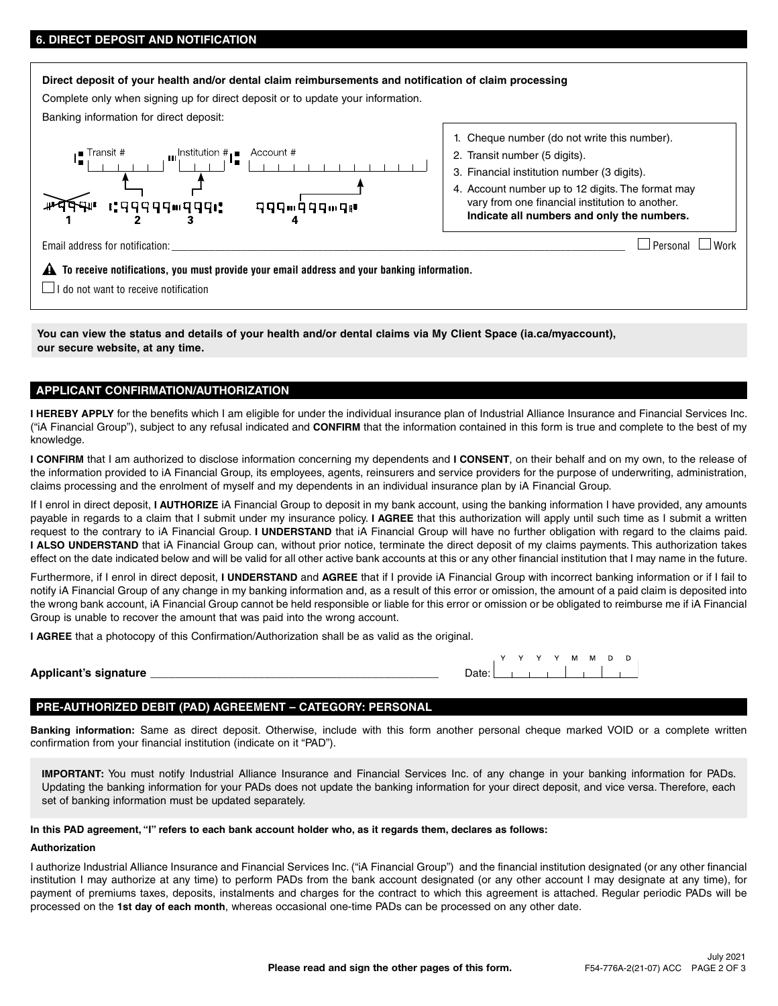# **6. DIRECT DEPOSIT AND NOTIFICATION**

# **Direct deposit of your health and/or dental claim reimbursements and notification of claim processing** Complete only when signing up for direct deposit or to update your information. Banking information for direct deposit: 1. Cheque number (do not write this number).  $\begin{array}{c}\n\begin{array}{c}\n\begin{array}{c}\n\begin{array}{c}\n\end{array}\n\end{array}\n\end{array}$ 2. Transit number (5 digits). 3. Financial institution number (3 digits). 4. Account number up to 12 digits. The format may दी⊪ । पपूर्पपप™पूपपा: vary from one financial institution to another. 999m999m9# **Indicate all numbers and only the numbers.** Email address for notification:  $\Box$  Work  **To receive notifications, you must provide your email address and your banking information.**  $\Box$  I do not want to receive notification

**You can view the status and details of your health and/or dental claims via My Client Space ([ia.ca/myaccount\)](https://iac.secureweb.inalco.com/eemwpnp1/public/login?TYPE=33554433&REALMOID=06-8d1faca3-560c-4a78-9f4d-77664996ba90&GUID=&SMAUTHREASON=0&METHOD=GET&SMAGENTNAME=-SM-9DTfP3Puxdh%2f70NuRXE8g2M%2f3VIO3eH4K7rjIHQkl%2bDoer73RjPxF56BQlS2Ig7k&TARGET=-SM-https%3a%2f%2fiac%2esecureweb%2einalco%2ecom%2fwemwpn47), our secure website, at any time.**

# **APPLICANT CONFIRMATION/AUTHORIZATION**

**I HEREBY APPLY** for the benefits which I am eligible for under the individual insurance plan of Industrial Alliance Insurance and Financial Services Inc. ("iA Financial Group"), subject to any refusal indicated and **CONFIRM** that the information contained in this form is true and complete to the best of my knowledge.

**I CONFIRM** that I am authorized to disclose information concerning my dependents and **I CONSENT**, on their behalf and on my own, to the release of the information provided to iA Financial Group, its employees, agents, reinsurers and service providers for the purpose of underwriting, administration, claims processing and the enrolment of myself and my dependents in an individual insurance plan by iA Financial Group.

If I enrol in direct deposit, **I AUTHORIZE** iA Financial Group to deposit in my bank account, using the banking information I have provided, any amounts payable in regards to a claim that I submit under my insurance policy. **I AGREE** that this authorization will apply until such time as I submit a written request to the contrary to iA Financial Group. **I UNDERSTAND** that iA Financial Group will have no further obligation with regard to the claims paid. **I ALSO UNDERSTAND** that iA Financial Group can, without prior notice, terminate the direct deposit of my claims payments. This authorization takes effect on the date indicated below and will be valid for all other active bank accounts at this or any other financial institution that I may name in the future.

Furthermore, if I enrol in direct deposit, **I UNDERSTAND** and **AGREE** that if I provide iA Financial Group with incorrect banking information or if I fail to notify iA Financial Group of any change in my banking information and, as a result of this error or omission, the amount of a paid claim is deposited into the wrong bank account, iA Financial Group cannot be held responsible or liable for this error or omission or be obligated to reimburse me if iA Financial Group is unable to recover the amount that was paid into the wrong account.

**I AGREE** that a photocopy of this Confirmation/Authorization shall be as valid as the original.

**Applicant's signature** \_\_\_\_\_\_\_\_\_\_\_\_\_\_\_\_\_\_\_\_\_\_\_\_\_\_\_\_\_\_\_\_\_\_\_\_\_\_\_\_\_\_\_\_\_\_\_\_ Date:

| Date: I |  |  |  |  |
|---------|--|--|--|--|

## **PRE-AUTHORIZED DEBIT (PAD) AGREEMENT – CATEGORY: PERSONAL**

**Banking information:** Same as direct deposit. Otherwise, include with this form another personal cheque marked VOID or a complete written confirmation from your financial institution (indicate on it "PAD").

**IMPORTANT:** You must notify Industrial Alliance Insurance and Financial Services Inc. of any change in your banking information for PADs. Updating the banking information for your PADs does not update the banking information for your direct deposit, and vice versa. Therefore, each set of banking information must be updated separately.

## **In this PAD agreement, "I" refers to each bank account holder who, as it regards them, declares as follows:**

### **Authorization**

I authorize Industrial Alliance Insurance and Financial Services Inc. ("iA Financial Group") and the financial institution designated (or any other financial institution I may authorize at any time) to perform PADs from the bank account designated (or any other account I may designate at any time), for payment of premiums taxes, deposits, instalments and charges for the contract to which this agreement is attached. Regular periodic PADs will be processed on the **1st day of each month**, whereas occasional one-time PADs can be processed on any other date.